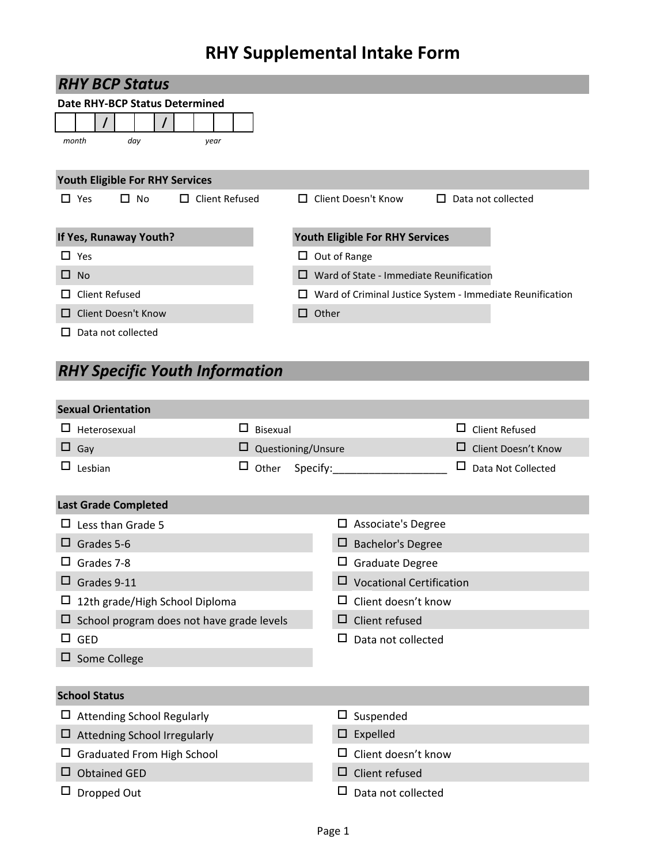# **RHY Supplemental Intake Form**

| <b>RHY BCP Status</b>                                      |                                                                |
|------------------------------------------------------------|----------------------------------------------------------------|
| Date RHY-BCP Status Determined                             |                                                                |
|                                                            |                                                                |
| month<br>day<br>year                                       |                                                                |
|                                                            |                                                                |
| <b>Youth Eligible For RHY Services</b>                     |                                                                |
| Client Refused<br>Yes<br>No<br>□<br>$\Box$<br>$\mathbf{L}$ | Client Doesn't Know<br>Data not collected                      |
|                                                            |                                                                |
| If Yes, Runaway Youth?                                     | Youth Eligible For RHY Services                                |
| $\square$ Yes                                              | Out of Range<br>ப                                              |
| $\Box$ No                                                  | Ward of State - Immediate Reunification<br>п                   |
| Client Refused<br>$\mathsf{L}$                             | Ward of Criminal Justice System - Immediate Reunification<br>ப |
| <b>Client Doesn't Know</b><br>П                            | Other<br>П                                                     |
| Data not collected<br>LΙ                                   |                                                                |

## *RHY Specific Youth Information*

|        | <b>Sexual Orientation</b>                        |        |          |                    |   |                                 |   |                       |
|--------|--------------------------------------------------|--------|----------|--------------------|---|---------------------------------|---|-----------------------|
| $\Box$ | Heterosexual                                     | □      | Bisexual |                    |   |                                 | □ | <b>Client Refused</b> |
|        | $\Box$ Gay                                       | ப      |          | Questioning/Unsure |   |                                 | ⊔ | Client Doesn't Know   |
| □      | Lesbian                                          | $\Box$ | Other    | Specify:           |   |                                 | □ | Data Not Collected    |
|        | <b>Last Grade Completed</b>                      |        |          |                    |   |                                 |   |                       |
| ப      | Less than Grade 5                                |        |          |                    | □ | Associate's Degree              |   |                       |
| ப      | Grades 5-6                                       |        |          |                    | ⊔ | <b>Bachelor's Degree</b>        |   |                       |
| ப      | Grades 7-8                                       |        |          |                    |   | Graduate Degree                 |   |                       |
| ப      | Grades 9-11                                      |        |          |                    |   | <b>Vocational Certification</b> |   |                       |
| ப      | 12th grade/High School Diploma                   |        |          |                    |   | Client doesn't know             |   |                       |
|        | $\Box$ School program does not have grade levels |        |          |                    | ப | Client refused                  |   |                       |
| □.     | <b>GED</b>                                       |        |          |                    | □ | Data not collected              |   |                       |
|        | $\Box$ Some College                              |        |          |                    |   |                                 |   |                       |
|        |                                                  |        |          |                    |   |                                 |   |                       |
|        | <b>School Status</b>                             |        |          |                    |   |                                 |   |                       |
|        | $\Box$ Attending School Regularly                |        |          |                    | □ | Suspended                       |   |                       |
|        | Attedning School Irregularly                     |        |          |                    | □ | Expelled                        |   |                       |
|        | <b>Graduated From High School</b>                |        |          |                    |   | Client doesn't know             |   |                       |
|        | <b>Obtained GED</b>                              |        |          |                    | ⊔ | Client refused                  |   |                       |
|        | Dropped Out                                      |        |          |                    |   | Data not collected              |   |                       |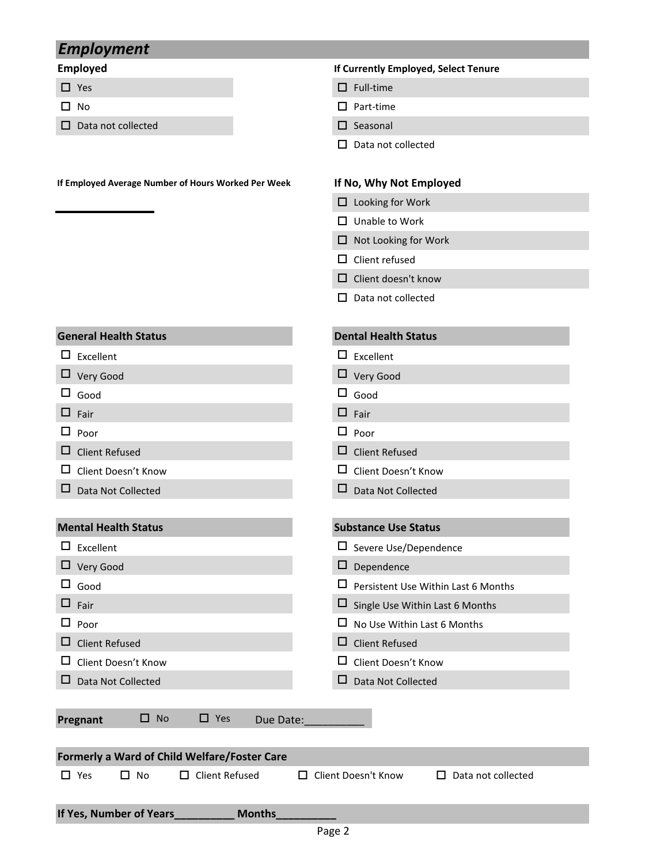### *Employment*

- 
- 
- $\square$  Data not collected  $\square$  Seasonal

### **Employed If Currently Employed, Select Tenure**

- $\Box$  Yes  $\Box$  Full-time
- $\Box$  No  $\Box$  Part-time
	-
	- $\square$  Data not collected

### **If Employed Average Number of Hours Worked Per Week If No, Why Not Employed**

- $\Box$  Looking for Work
- $\Box$  Unable to Work
- $\Box$  Not Looking for Work
- $\square$  Client refused
- $\square$  Client doesn't know
- $\square$  Data not collected
- **General Health Status Dental Health Status**
- $\square$  Excellent  $\square$  Excellent
- Very Good Very Good
- $\square$  Good  $\square$  Good
- $\Box$  Fair  $\Box$  Fair  $\Box$  Fair
- 
- $\Box$  Poor  $\Box$  Poor  $\Box$  Poor  $\Box$  Poor  $\square$  Client Refused
- 
- $\square$  Data N

| $\Box$ chent Refused        | □ Client Refused                           |
|-----------------------------|--------------------------------------------|
| □<br>Client Doesn't Know    | ப<br>Client Doesn't Know                   |
| □<br>Data Not Collected     | ப<br>Data Not Collected                    |
|                             |                                            |
| <b>Mental Health Status</b> | <b>Substance Use Status</b>                |
| $\Box$<br>Excellent         | $\square$ Severe Use/Dependence            |
| $\Box$ Very Good            | □<br>Dependence                            |
| Good                        | $\Box$ Persistent Use Within Last 6 Months |
| $\Box$ Fair                 | ⊔<br>Single Use Within Last 6 Months       |

- $\Box$  Poor  $\Box$  No Use Within Last 6 Months
- Client Refused Client Refused
- $\square$  Client Doesn't Know  $\square$  Client Doesn't Know
- $\square$  Data Not Collected  $\square$  Data Not Collected

**Pregnant**  $\Box$  No  $\Box$  Yes Due Date:

|            |                         | <b>Formerly a Ward of Child Welfare/Foster Care</b> |                            |                           |
|------------|-------------------------|-----------------------------------------------------|----------------------------|---------------------------|
| $\Box$ Yes | $\Box$ No               | $\Box$ Client Refused                               | $\Box$ Client Doesn't Know | $\Box$ Data not collected |
|            | If Yes, Number of Years | <b>Months</b>                                       |                            |                           |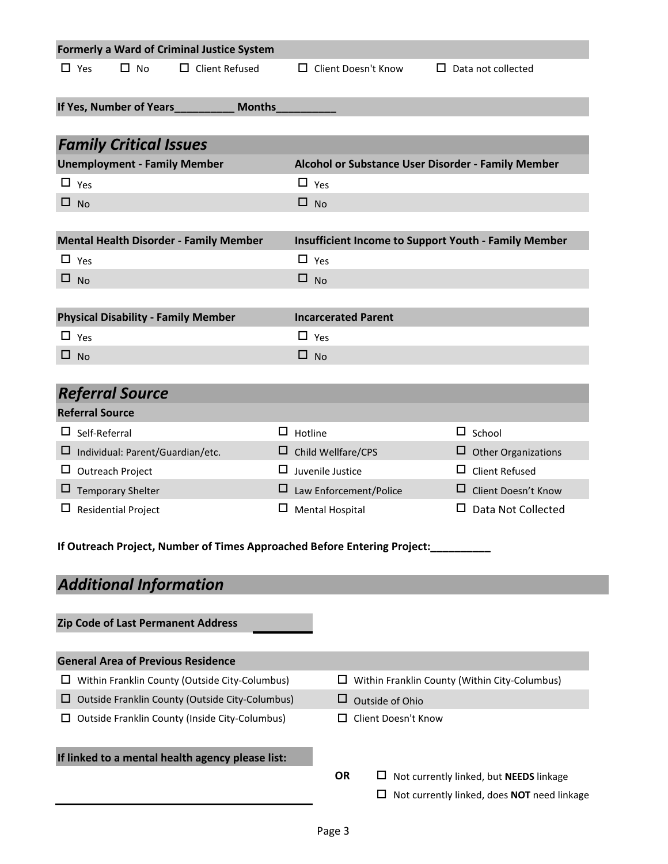|   |              |                         |                                            | <b>Formerly a Ward of Criminal Justice System</b>                        |   |                |                            |                     |    |               |                                                             |  |
|---|--------------|-------------------------|--------------------------------------------|--------------------------------------------------------------------------|---|----------------|----------------------------|---------------------|----|---------------|-------------------------------------------------------------|--|
|   | $\Box$ Yes   |                         | $\Box$ No                                  | $\Box$ Client Refused                                                    |   |                | □ Client Doesn't Know      |                     | П. |               | Data not collected                                          |  |
|   |              |                         |                                            |                                                                          |   |                |                            |                     |    |               |                                                             |  |
|   |              |                         | If Yes, Number of Years                    | <b>Months</b>                                                            |   |                |                            |                     |    |               |                                                             |  |
|   |              |                         |                                            |                                                                          |   |                |                            |                     |    |               |                                                             |  |
|   |              |                         | <b>Family Critical Issues</b>              |                                                                          |   |                |                            |                     |    |               |                                                             |  |
|   |              |                         | <b>Unemployment - Family Member</b>        |                                                                          |   |                |                            |                     |    |               | Alcohol or Substance User Disorder - Family Member          |  |
|   | $\Box$ Yes   |                         |                                            |                                                                          |   | $\Box$ Yes     |                            |                     |    |               |                                                             |  |
|   | $\square$ No |                         |                                            |                                                                          |   | $\Box$ No      |                            |                     |    |               |                                                             |  |
|   |              |                         |                                            |                                                                          |   |                |                            |                     |    |               |                                                             |  |
|   |              |                         |                                            | <b>Mental Health Disorder - Family Member</b>                            |   |                |                            |                     |    |               | <b>Insufficient Income to Support Youth - Family Member</b> |  |
|   | $\Box$ Yes   |                         |                                            |                                                                          |   | $\Box$ Yes     |                            |                     |    |               |                                                             |  |
|   | $\square$ No |                         |                                            |                                                                          |   | $\square$ No   |                            |                     |    |               |                                                             |  |
|   |              |                         |                                            |                                                                          |   |                |                            |                     |    |               |                                                             |  |
|   |              |                         | <b>Physical Disability - Family Member</b> |                                                                          |   |                | <b>Incarcerated Parent</b> |                     |    |               |                                                             |  |
|   | $\Box$ Yes   |                         |                                            |                                                                          |   | $\Box$ Yes     |                            |                     |    |               |                                                             |  |
|   | $\Box$ No    |                         |                                            |                                                                          |   | $\Box$ No      |                            |                     |    |               |                                                             |  |
|   |              |                         |                                            |                                                                          |   |                |                            |                     |    |               |                                                             |  |
|   |              |                         | <b>Referral Source</b>                     |                                                                          |   |                |                            |                     |    |               |                                                             |  |
|   |              | <b>Referral Source</b>  |                                            |                                                                          |   |                |                            |                     |    |               |                                                             |  |
|   |              | $\Box$ Self-Referral    |                                            |                                                                          |   | $\Box$ Hotline |                            |                     |    | $\Box$ School |                                                             |  |
|   |              |                         | $\Box$ Individual: Parent/Guardian/etc.    |                                                                          |   |                | $\Box$ Child Wellfare/CPS  |                     |    |               | Other Organizations                                         |  |
|   |              | $\Box$ Outreach Project |                                            |                                                                          |   |                | $\Box$ Juvenile Justice    |                     |    | ப             | <b>Client Refused</b>                                       |  |
|   |              |                         | $\Box$ Temporary Shelter                   |                                                                          | ப |                | Law Enforcement/Police     |                     |    | ப             | Client Doesn't Know                                         |  |
| ப |              |                         | <b>Residential Project</b>                 |                                                                          |   |                | <b>Mental Hospital</b>     |                     |    |               | Data Not Collected                                          |  |
|   |              |                         |                                            | If Outreach Project, Number of Times Approached Before Entering Project: |   |                |                            |                     |    |               |                                                             |  |
|   |              |                         |                                            |                                                                          |   |                |                            |                     |    |               |                                                             |  |
|   |              |                         | <b>Additional Information</b>              |                                                                          |   |                |                            |                     |    |               |                                                             |  |
|   |              |                         | Zip Code of Last Permanent Address         |                                                                          |   |                |                            |                     |    |               |                                                             |  |
|   |              |                         |                                            |                                                                          |   |                |                            |                     |    |               |                                                             |  |
|   |              |                         | <b>General Area of Previous Residence</b>  |                                                                          |   |                |                            |                     |    |               |                                                             |  |
|   |              |                         |                                            | $\Box$ Within Franklin County (Outside City-Columbus)                    |   |                | ப                          |                     |    |               | Within Franklin County (Within City-Columbus)               |  |
| ⊔ |              |                         |                                            | Outside Franklin County (Outside City-Columbus)                          |   |                | ப                          | Outside of Ohio     |    |               |                                                             |  |
| ப |              |                         |                                            | <b>Outside Franklin County (Inside City-Columbus)</b>                    |   |                |                            | Client Doesn't Know |    |               |                                                             |  |
|   |              |                         |                                            |                                                                          |   |                |                            |                     |    |               |                                                             |  |
|   |              |                         |                                            | If linked to a mental health agency please list:                         |   |                |                            |                     |    |               |                                                             |  |
|   |              |                         |                                            |                                                                          |   |                | <b>OR</b>                  |                     |    |               | $\Box$ Not currently linked, but <b>NEEDS</b> linkage       |  |
|   |              |                         |                                            |                                                                          |   |                |                            | ப                   |    |               | Not currently linked, does NOT need linkage                 |  |
|   |              |                         |                                            |                                                                          |   |                |                            |                     |    |               |                                                             |  |